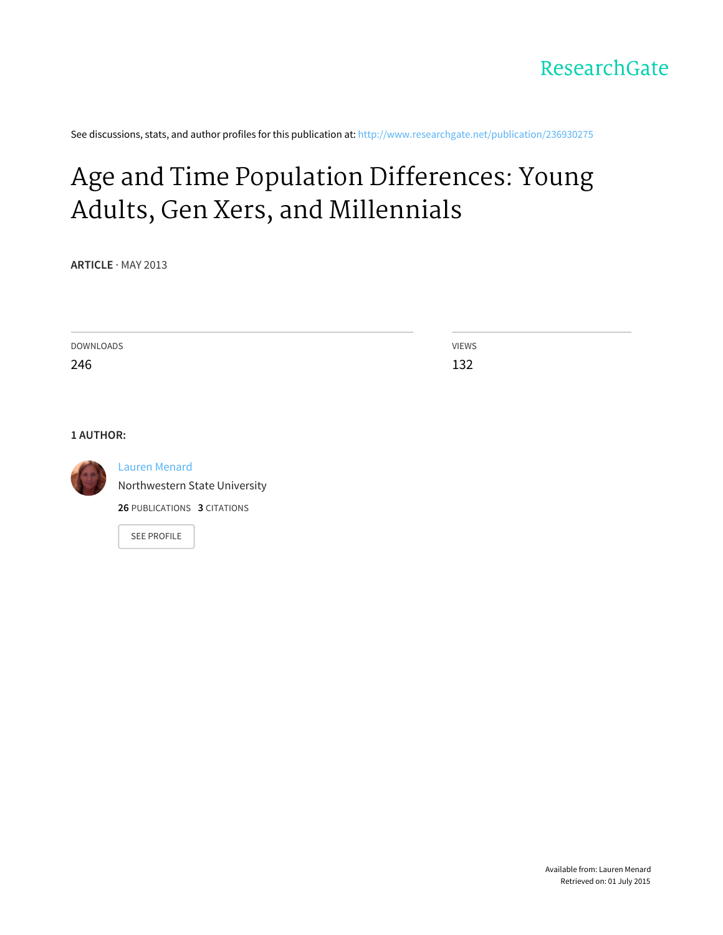See discussions, stats, and author profiles for this publication at: [http://www.researchgate.net/publication/236930275](http://www.researchgate.net/publication/236930275_Age_and_Time_Population_Differences_Young_Adults_Gen_Xers_and_Millennials?enrichId=rgreq-f9e41d6a-92ad-429d-a475-7d458803fe30&enrichSource=Y292ZXJQYWdlOzIzNjkzMDI3NTtBUzoxMDExODg3MzMyNDM0MDdAMTQwMTEzNjY4Mjc1Mg%3D%3D&el=1_x_2)

# Age and Time Population [Differences:](http://www.researchgate.net/publication/236930275_Age_and_Time_Population_Differences_Young_Adults_Gen_Xers_and_Millennials?enrichId=rgreq-f9e41d6a-92ad-429d-a475-7d458803fe30&enrichSource=Y292ZXJQYWdlOzIzNjkzMDI3NTtBUzoxMDExODg3MzMyNDM0MDdAMTQwMTEzNjY4Mjc1Mg%3D%3D&el=1_x_3) Young Adults, Gen Xers, and Millennials

**ARTICLE** · MAY 2013

| DOWNLOADS | <b>VIEWS</b> |
|-----------|--------------|
| 246       | ່າາ<br>∸∽    |
|           |              |

**1 AUTHOR:**



#### Lauren [Menard](http://www.researchgate.net/profile/Lauren_Menard?enrichId=rgreq-f9e41d6a-92ad-429d-a475-7d458803fe30&enrichSource=Y292ZXJQYWdlOzIzNjkzMDI3NTtBUzoxMDExODg3MzMyNDM0MDdAMTQwMTEzNjY4Mjc1Mg%3D%3D&el=1_x_5)

[Northwestern](http://www.researchgate.net/institution/Northwestern_State_University?enrichId=rgreq-f9e41d6a-92ad-429d-a475-7d458803fe30&enrichSource=Y292ZXJQYWdlOzIzNjkzMDI3NTtBUzoxMDExODg3MzMyNDM0MDdAMTQwMTEzNjY4Mjc1Mg%3D%3D&el=1_x_6) State University

**26** PUBLICATIONS **3** CITATIONS

SEE [PROFILE](http://www.researchgate.net/profile/Lauren_Menard?enrichId=rgreq-f9e41d6a-92ad-429d-a475-7d458803fe30&enrichSource=Y292ZXJQYWdlOzIzNjkzMDI3NTtBUzoxMDExODg3MzMyNDM0MDdAMTQwMTEzNjY4Mjc1Mg%3D%3D&el=1_x_7)

Available from: Lauren Menard Retrieved on: 01 July 2015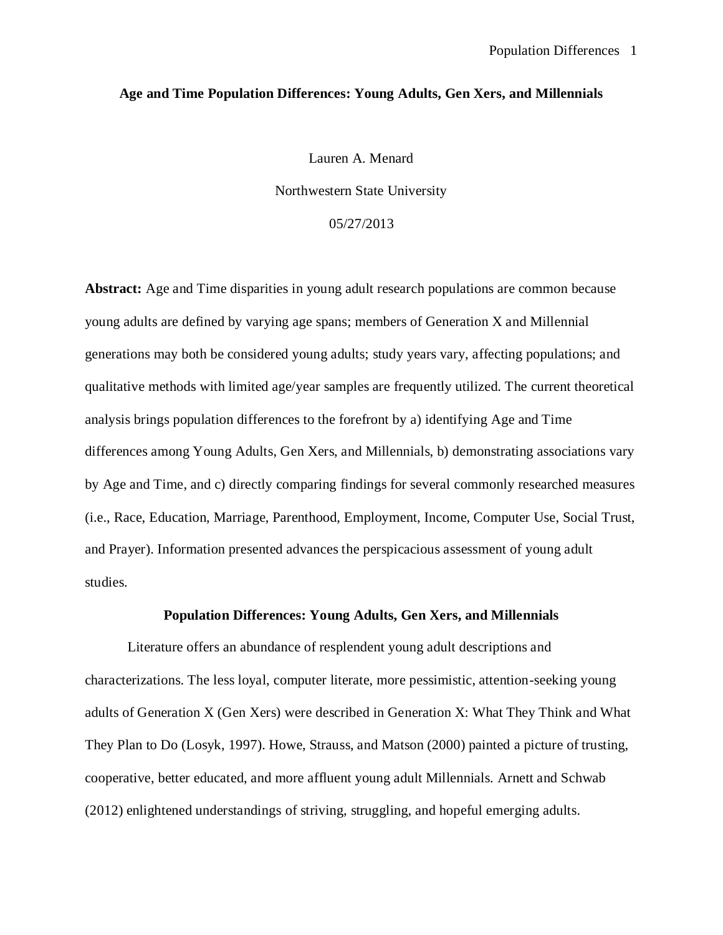#### **Age and Time Population Differences: Young Adults, Gen Xers, and Millennials**

Lauren A. Menard

Northwestern State University

## 05/27/2013

**Abstract:** Age and Time disparities in young adult research populations are common because young adults are defined by varying age spans; members of Generation X and Millennial generations may both be considered young adults; study years vary, affecting populations; and qualitative methods with limited age/year samples are frequently utilized. The current theoretical analysis brings population differences to the forefront by a) identifying Age and Time differences among Young Adults, Gen Xers, and Millennials, b) demonstrating associations vary by Age and Time, and c) directly comparing findings for several commonly researched measures (i.e., Race, Education, Marriage, Parenthood, Employment, Income, Computer Use, Social Trust, and Prayer). Information presented advances the perspicacious assessment of young adult studies.

## **Population Differences: Young Adults, Gen Xers, and Millennials**

Literature offers an abundance of resplendent young adult descriptions and characterizations. The less loyal, computer literate, more pessimistic, attention-seeking young adults of Generation X (Gen Xers) were described in Generation X: What They Think and What They Plan to Do (Losyk, 1997). Howe, Strauss, and Matson (2000) painted a picture of trusting, cooperative, better educated, and more affluent young adult Millennials. Arnett and Schwab (2012) enlightened understandings of striving, struggling, and hopeful emerging adults.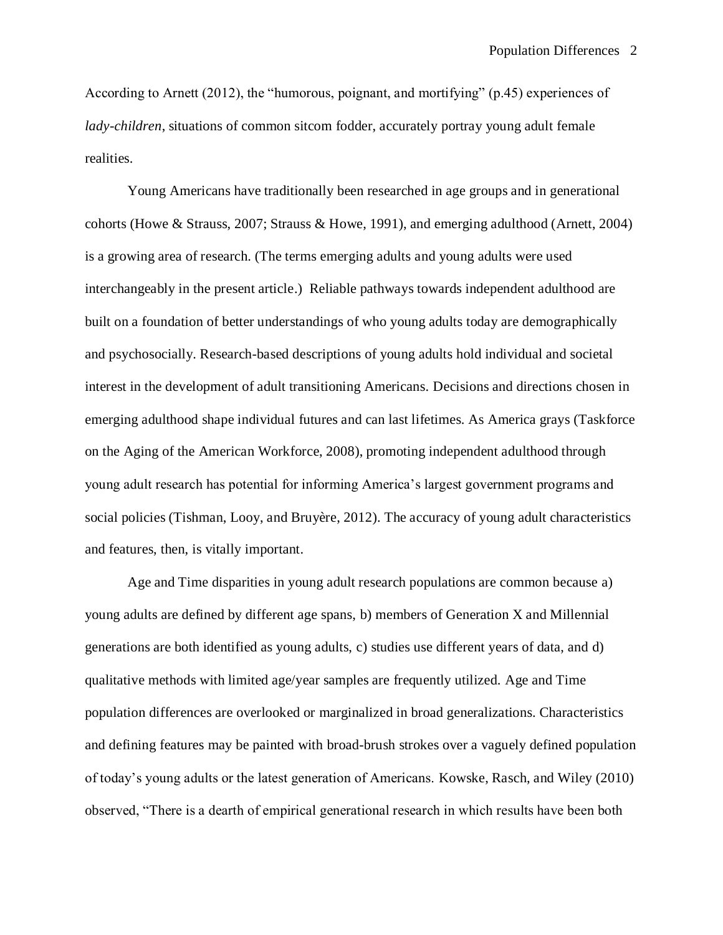According to Arnett (2012), the "humorous, poignant, and mortifying" (p.45) experiences of *lady-children*, situations of common sitcom fodder, accurately portray young adult female realities.

Young Americans have traditionally been researched in age groups and in generational cohorts (Howe & Strauss, 2007; Strauss & Howe, 1991), and emerging adulthood (Arnett, 2004) is a growing area of research. (The terms emerging adults and young adults were used interchangeably in the present article.) Reliable pathways towards independent adulthood are built on a foundation of better understandings of who young adults today are demographically and psychosocially. Research-based descriptions of young adults hold individual and societal interest in the development of adult transitioning Americans. Decisions and directions chosen in emerging adulthood shape individual futures and can last lifetimes. As America grays (Taskforce on the Aging of the American Workforce, 2008), promoting independent adulthood through young adult research has potential for informing America's largest government programs and social policies (Tishman, Looy, and Bruyère, 2012). The accuracy of young adult characteristics and features, then, is vitally important.

Age and Time disparities in young adult research populations are common because a) young adults are defined by different age spans, b) members of Generation X and Millennial generations are both identified as young adults, c) studies use different years of data, and d) qualitative methods with limited age/year samples are frequently utilized. Age and Time population differences are overlooked or marginalized in broad generalizations. Characteristics and defining features may be painted with broad-brush strokes over a vaguely defined population of today's young adults or the latest generation of Americans. Kowske, Rasch, and Wiley (2010) observed, "There is a dearth of empirical generational research in which results have been both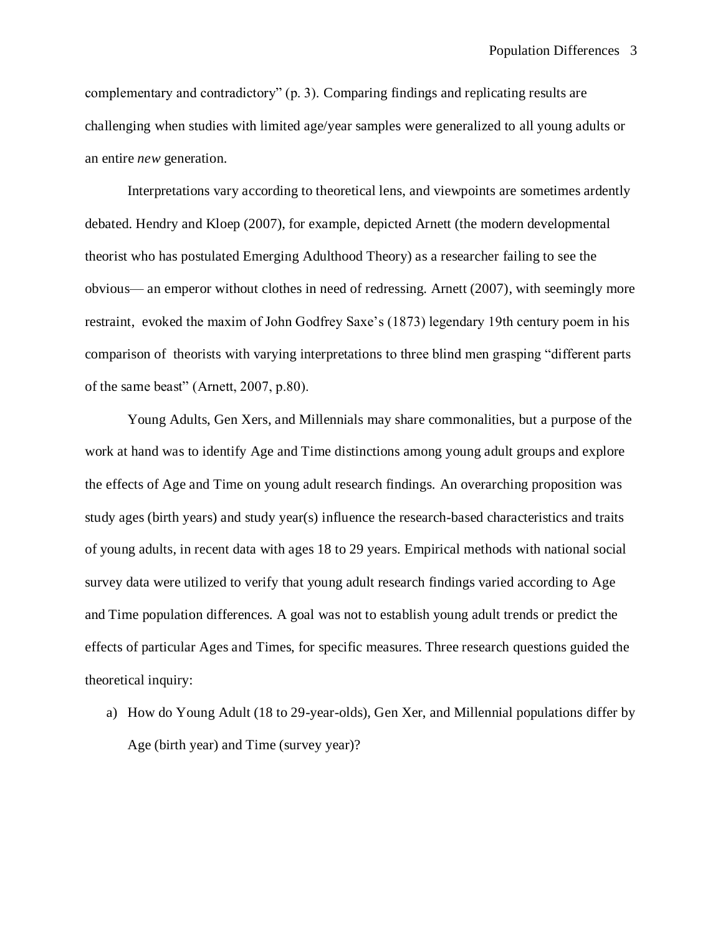complementary and contradictory" (p. 3). Comparing findings and replicating results are challenging when studies with limited age/year samples were generalized to all young adults or an entire *new* generation.

Interpretations vary according to theoretical lens, and viewpoints are sometimes ardently debated. Hendry and Kloep (2007), for example, depicted Arnett (the modern developmental theorist who has postulated Emerging Adulthood Theory) as a researcher failing to see the obvious— an emperor without clothes in need of redressing. Arnett (2007), with seemingly more restraint, evoked the maxim of John Godfrey Saxe's (1873) legendary 19th century poem in his comparison of theorists with varying interpretations to three blind men grasping "different parts of the same beast" (Arnett, 2007, p.80).

Young Adults, Gen Xers, and Millennials may share commonalities, but a purpose of the work at hand was to identify Age and Time distinctions among young adult groups and explore the effects of Age and Time on young adult research findings. An overarching proposition was study ages (birth years) and study year(s) influence the research-based characteristics and traits of young adults, in recent data with ages 18 to 29 years. Empirical methods with national social survey data were utilized to verify that young adult research findings varied according to Age and Time population differences. A goal was not to establish young adult trends or predict the effects of particular Ages and Times, for specific measures. Three research questions guided the theoretical inquiry:

a) How do Young Adult (18 to 29-year-olds), Gen Xer, and Millennial populations differ by Age (birth year) and Time (survey year)?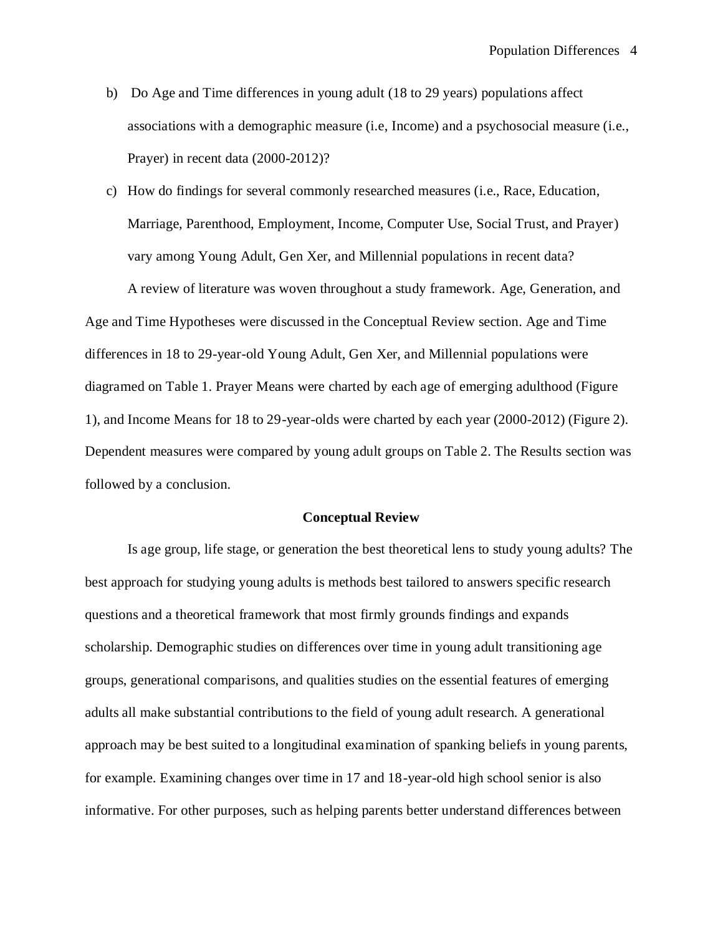- b) Do Age and Time differences in young adult (18 to 29 years) populations affect associations with a demographic measure (i.e, Income) and a psychosocial measure (i.e., Prayer) in recent data (2000-2012)?
- c) How do findings for several commonly researched measures (i.e., Race, Education, Marriage, Parenthood, Employment, Income, Computer Use, Social Trust, and Prayer) vary among Young Adult, Gen Xer, and Millennial populations in recent data?

A review of literature was woven throughout a study framework. Age, Generation, and Age and Time Hypotheses were discussed in the Conceptual Review section. Age and Time differences in 18 to 29-year-old Young Adult, Gen Xer, and Millennial populations were diagramed on Table 1. Prayer Means were charted by each age of emerging adulthood (Figure 1), and Income Means for 18 to 29-year-olds were charted by each year (2000-2012) (Figure 2). Dependent measures were compared by young adult groups on Table 2. The Results section was followed by a conclusion.

#### **Conceptual Review**

Is age group, life stage, or generation the best theoretical lens to study young adults? The best approach for studying young adults is methods best tailored to answers specific research questions and a theoretical framework that most firmly grounds findings and expands scholarship. Demographic studies on differences over time in young adult transitioning age groups, generational comparisons, and qualities studies on the essential features of emerging adults all make substantial contributions to the field of young adult research. A generational approach may be best suited to a longitudinal examination of spanking beliefs in young parents, for example. Examining changes over time in 17 and 18-year-old high school senior is also informative. For other purposes, such as helping parents better understand differences between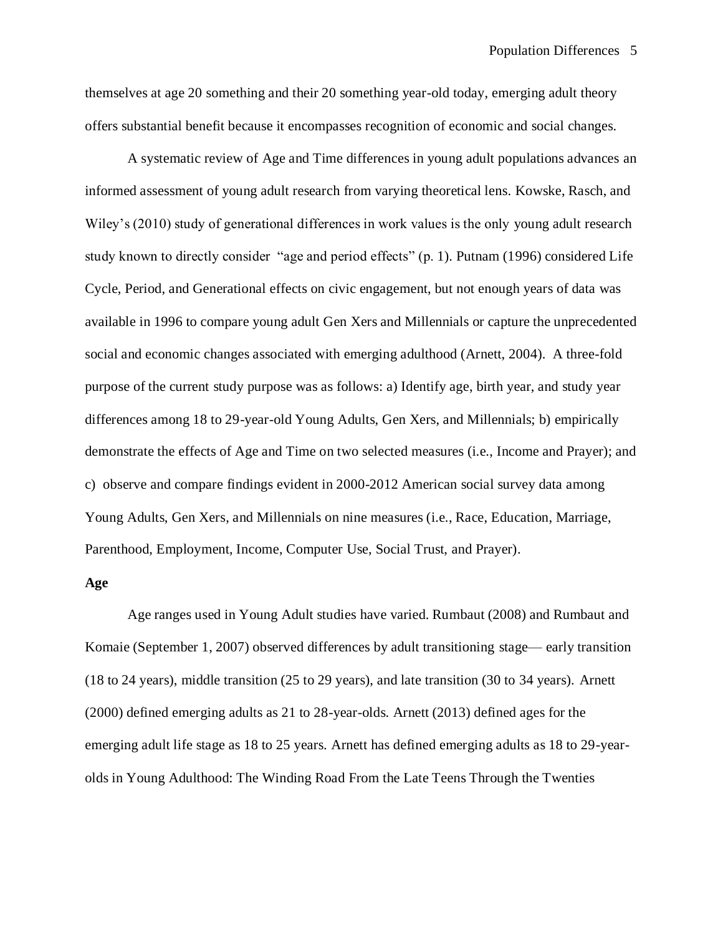themselves at age 20 something and their 20 something year-old today, emerging adult theory offers substantial benefit because it encompasses recognition of economic and social changes.

A systematic review of Age and Time differences in young adult populations advances an informed assessment of young adult research from varying theoretical lens. Kowske, Rasch, and Wiley's (2010) study of generational differences in work values is the only young adult research study known to directly consider "age and period effects" (p. 1). Putnam (1996) considered Life Cycle, Period, and Generational effects on civic engagement, but not enough years of data was available in 1996 to compare young adult Gen Xers and Millennials or capture the unprecedented social and economic changes associated with emerging adulthood (Arnett, 2004). A three-fold purpose of the current study purpose was as follows: a) Identify age, birth year, and study year differences among 18 to 29-year-old Young Adults, Gen Xers, and Millennials; b) empirically demonstrate the effects of Age and Time on two selected measures (i.e., Income and Prayer); and c) observe and compare findings evident in 2000-2012 American social survey data among Young Adults, Gen Xers, and Millennials on nine measures (i.e., Race, Education, Marriage, Parenthood, Employment, Income, Computer Use, Social Trust, and Prayer).

## **Age**

Age ranges used in Young Adult studies have varied. Rumbaut (2008) and Rumbaut and Komaie (September 1, 2007) observed differences by adult transitioning stage— early transition (18 to 24 years), middle transition (25 to 29 years), and late transition (30 to 34 years). Arnett (2000) defined emerging adults as 21 to 28-year-olds. Arnett (2013) defined ages for the emerging adult life stage as 18 to 25 years. Arnett has defined emerging adults as 18 to 29-yearolds in Young Adulthood: The Winding Road From the Late Teens Through the Twenties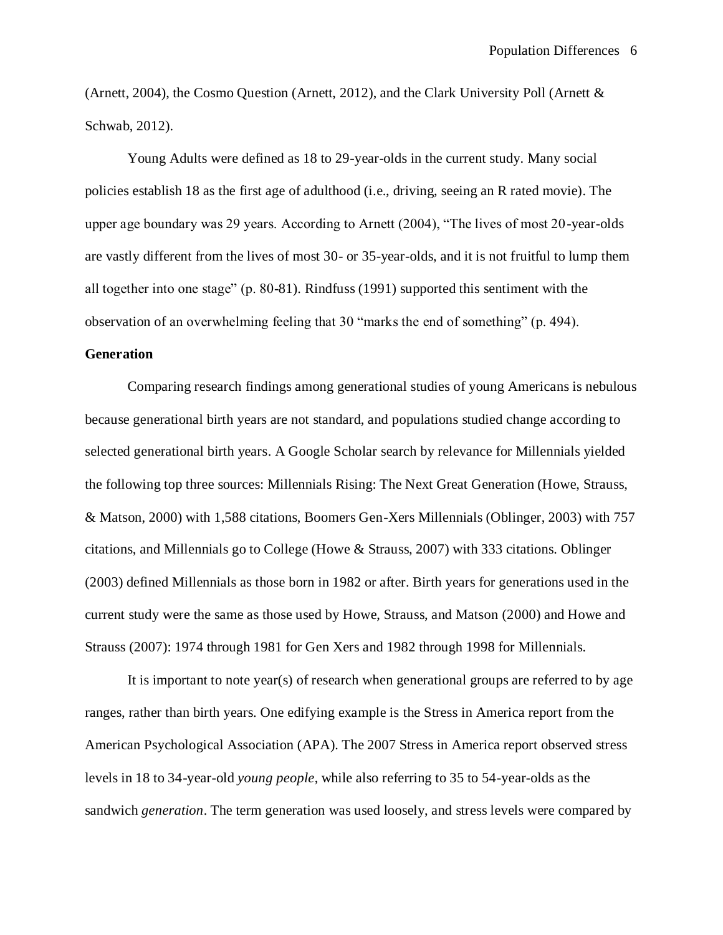(Arnett, 2004), the Cosmo Question (Arnett, 2012), and the Clark University Poll (Arnett & Schwab, 2012).

Young Adults were defined as 18 to 29-year-olds in the current study. Many social policies establish 18 as the first age of adulthood (i.e., driving, seeing an R rated movie). The upper age boundary was 29 years. According to Arnett (2004), "The lives of most 20-year-olds are vastly different from the lives of most 30- or 35-year-olds, and it is not fruitful to lump them all together into one stage" (p. 80-81). Rindfuss (1991) supported this sentiment with the observation of an overwhelming feeling that 30 "marks the end of something" (p. 494).

## **Generation**

Comparing research findings among generational studies of young Americans is nebulous because generational birth years are not standard, and populations studied change according to selected generational birth years. A Google Scholar search by relevance for Millennials yielded the following top three sources: Millennials Rising: The Next Great Generation (Howe, Strauss, & Matson, 2000) with 1,588 citations, Boomers Gen-Xers Millennials (Oblinger, 2003) with 757 citations, and Millennials go to College (Howe & Strauss, 2007) with 333 citations. Oblinger (2003) defined Millennials as those born in 1982 or after. Birth years for generations used in the current study were the same as those used by Howe, Strauss, and Matson (2000) and Howe and Strauss (2007): 1974 through 1981 for Gen Xers and 1982 through 1998 for Millennials.

It is important to note year(s) of research when generational groups are referred to by age ranges, rather than birth years. One edifying example is the Stress in America report from the American Psychological Association (APA). The 2007 Stress in America report observed stress levels in 18 to 34-year-old *young people*, while also referring to 35 to 54-year-olds as the sandwich *generation*. The term generation was used loosely, and stress levels were compared by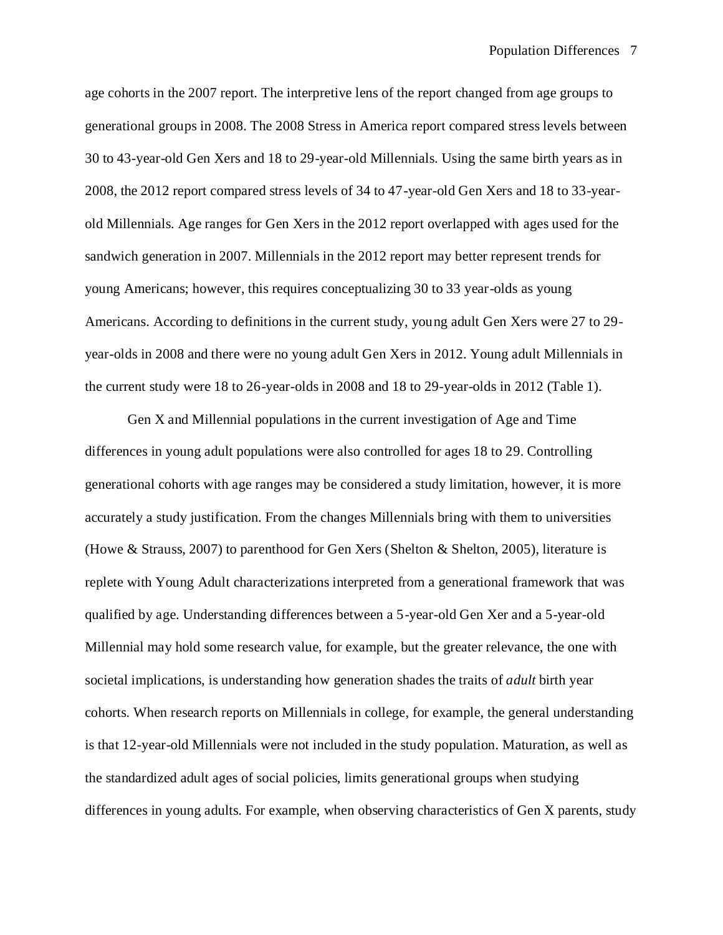age cohorts in the 2007 report. The interpretive lens of the report changed from age groups to generational groups in 2008. The 2008 Stress in America report compared stress levels between 30 to 43-year-old Gen Xers and 18 to 29-year-old Millennials. Using the same birth years as in 2008, the 2012 report compared stress levels of 34 to 47-year-old Gen Xers and 18 to 33-yearold Millennials. Age ranges for Gen Xers in the 2012 report overlapped with ages used for the sandwich generation in 2007. Millennials in the 2012 report may better represent trends for young Americans; however, this requires conceptualizing 30 to 33 year-olds as young Americans. According to definitions in the current study, young adult Gen Xers were 27 to 29 year-olds in 2008 and there were no young adult Gen Xers in 2012. Young adult Millennials in the current study were 18 to 26-year-olds in 2008 and 18 to 29-year-olds in 2012 (Table 1).

Gen X and Millennial populations in the current investigation of Age and Time differences in young adult populations were also controlled for ages 18 to 29. Controlling generational cohorts with age ranges may be considered a study limitation, however, it is more accurately a study justification. From the changes Millennials bring with them to universities (Howe & Strauss, 2007) to parenthood for Gen Xers (Shelton & Shelton, 2005), literature is replete with Young Adult characterizations interpreted from a generational framework that was qualified by age. Understanding differences between a 5-year-old Gen Xer and a 5-year-old Millennial may hold some research value, for example, but the greater relevance, the one with societal implications, is understanding how generation shades the traits of *adult* birth year cohorts. When research reports on Millennials in college, for example, the general understanding is that 12-year-old Millennials were not included in the study population. Maturation, as well as the standardized adult ages of social policies, limits generational groups when studying differences in young adults. For example, when observing characteristics of Gen X parents, study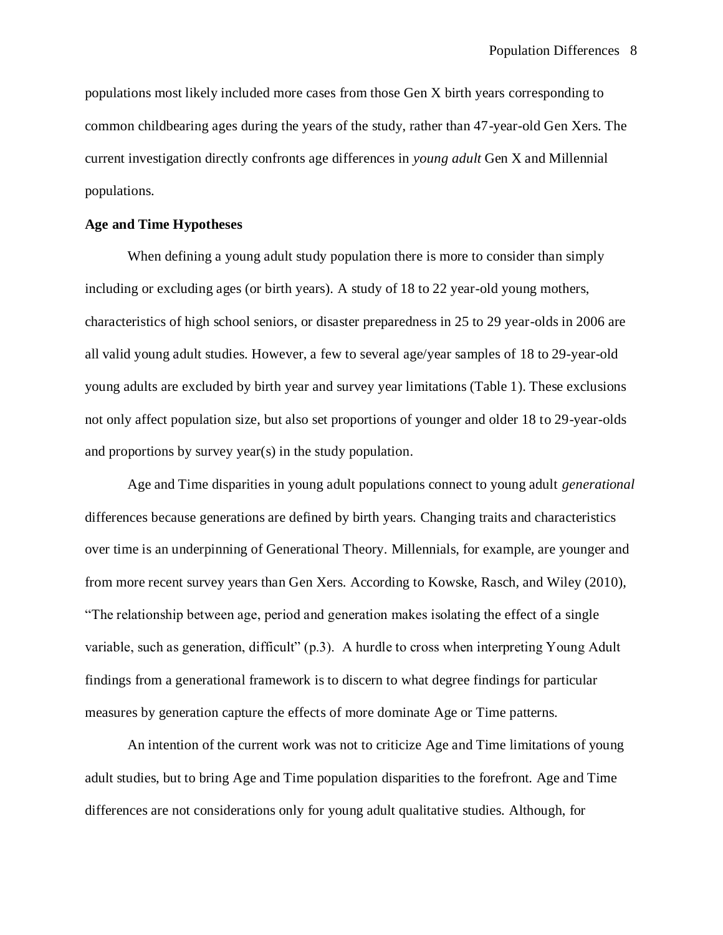populations most likely included more cases from those Gen X birth years corresponding to common childbearing ages during the years of the study, rather than 47-year-old Gen Xers. The current investigation directly confronts age differences in *young adult* Gen X and Millennial populations.

## **Age and Time Hypotheses**

When defining a young adult study population there is more to consider than simply including or excluding ages (or birth years). A study of 18 to 22 year-old young mothers, characteristics of high school seniors, or disaster preparedness in 25 to 29 year-olds in 2006 are all valid young adult studies. However, a few to several age/year samples of 18 to 29-year-old young adults are excluded by birth year and survey year limitations (Table 1). These exclusions not only affect population size, but also set proportions of younger and older 18 to 29-year-olds and proportions by survey year(s) in the study population.

Age and Time disparities in young adult populations connect to young adult *generational* differences because generations are defined by birth years. Changing traits and characteristics over time is an underpinning of Generational Theory. Millennials, for example, are younger and from more recent survey years than Gen Xers. According to Kowske, Rasch, and Wiley (2010), "The relationship between age, period and generation makes isolating the effect of a single variable, such as generation, difficult" (p.3). A hurdle to cross when interpreting Young Adult findings from a generational framework is to discern to what degree findings for particular measures by generation capture the effects of more dominate Age or Time patterns.

An intention of the current work was not to criticize Age and Time limitations of young adult studies, but to bring Age and Time population disparities to the forefront. Age and Time differences are not considerations only for young adult qualitative studies. Although, for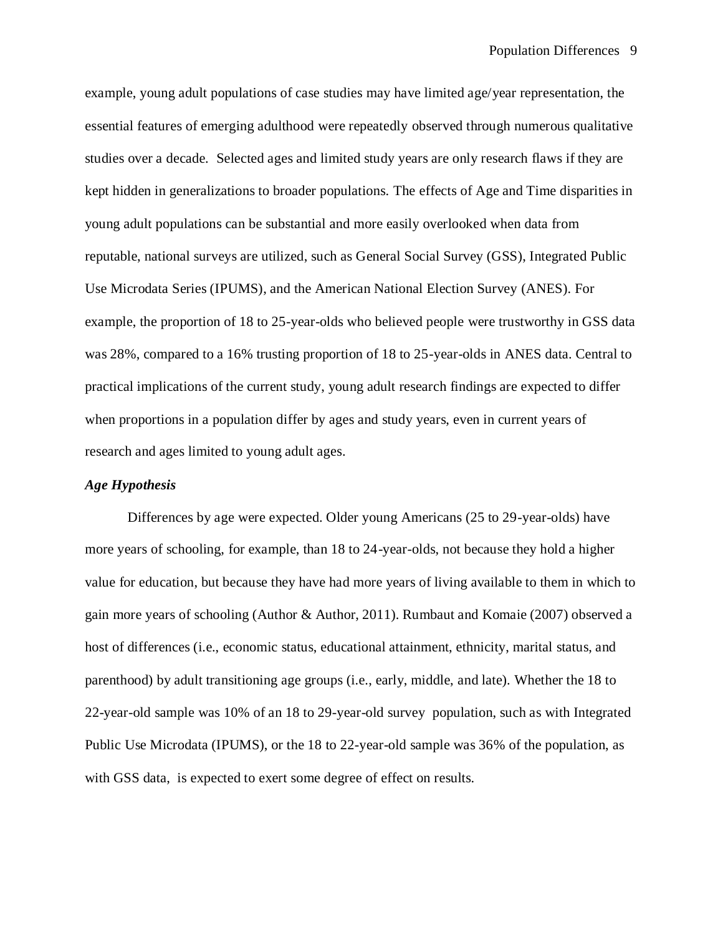example, young adult populations of case studies may have limited age/year representation, the essential features of emerging adulthood were repeatedly observed through numerous qualitative studies over a decade. Selected ages and limited study years are only research flaws if they are kept hidden in generalizations to broader populations. The effects of Age and Time disparities in young adult populations can be substantial and more easily overlooked when data from reputable, national surveys are utilized, such as General Social Survey (GSS), Integrated Public Use Microdata Series (IPUMS), and the American National Election Survey (ANES). For example, the proportion of 18 to 25-year-olds who believed people were trustworthy in GSS data was 28%, compared to a 16% trusting proportion of 18 to 25-year-olds in ANES data. Central to practical implications of the current study, young adult research findings are expected to differ when proportions in a population differ by ages and study years, even in current years of research and ages limited to young adult ages.

## *Age Hypothesis*

Differences by age were expected. Older young Americans (25 to 29-year-olds) have more years of schooling, for example, than 18 to 24-year-olds, not because they hold a higher value for education, but because they have had more years of living available to them in which to gain more years of schooling (Author & Author, 2011). Rumbaut and Komaie (2007) observed a host of differences (i.e., economic status, educational attainment, ethnicity, marital status, and parenthood) by adult transitioning age groups (i.e., early, middle, and late). Whether the 18 to 22-year-old sample was 10% of an 18 to 29-year-old survey population, such as with Integrated Public Use Microdata (IPUMS), or the 18 to 22-year-old sample was 36% of the population, as with GSS data, is expected to exert some degree of effect on results.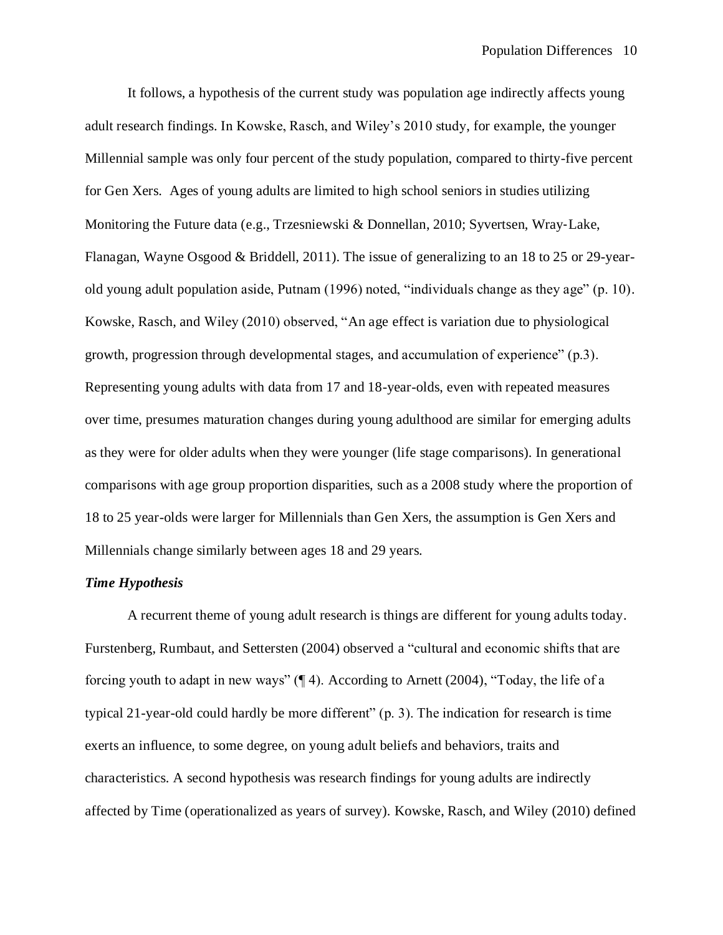It follows, a hypothesis of the current study was population age indirectly affects young adult research findings. In Kowske, Rasch, and Wiley's 2010 study, for example, the younger Millennial sample was only four percent of the study population, compared to thirty-five percent for Gen Xers. Ages of young adults are limited to high school seniors in studies utilizing Monitoring the Future data (e.g., Trzesniewski & Donnellan, 2010; Syvertsen, Wray-Lake, Flanagan, Wayne Osgood & Briddell, 2011). The issue of generalizing to an 18 to 25 or 29-yearold young adult population aside, Putnam (1996) noted, "individuals change as they age" (p. 10). Kowske, Rasch, and Wiley (2010) observed, "An age effect is variation due to physiological growth, progression through developmental stages, and accumulation of experience" (p.3). Representing young adults with data from 17 and 18-year-olds, even with repeated measures over time, presumes maturation changes during young adulthood are similar for emerging adults as they were for older adults when they were younger (life stage comparisons). In generational comparisons with age group proportion disparities, such as a 2008 study where the proportion of 18 to 25 year-olds were larger for Millennials than Gen Xers, the assumption is Gen Xers and Millennials change similarly between ages 18 and 29 years.

## *Time Hypothesis*

A recurrent theme of young adult research is things are different for young adults today. Furstenberg, Rumbaut, and Settersten (2004) observed a "cultural and economic shifts that are forcing youth to adapt in new ways"  $(\P 4)$ . According to Arnett (2004), "Today, the life of a typical 21-year-old could hardly be more different" (p. 3). The indication for research is time exerts an influence, to some degree, on young adult beliefs and behaviors, traits and characteristics. A second hypothesis was research findings for young adults are indirectly affected by Time (operationalized as years of survey). Kowske, Rasch, and Wiley (2010) defined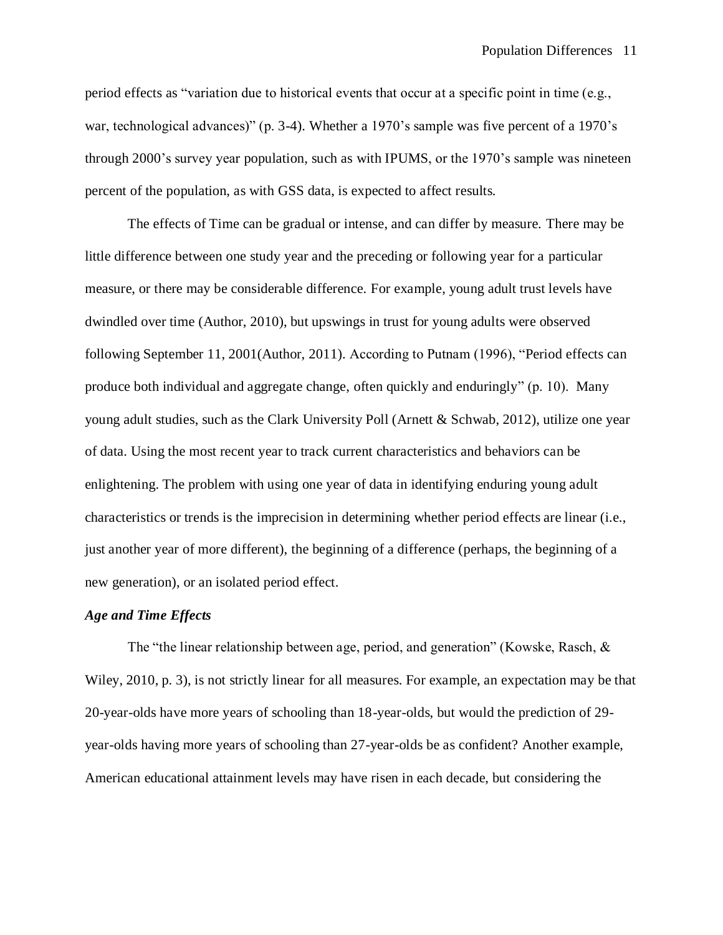period effects as "variation due to historical events that occur at a specific point in time (e.g., war, technological advances)" (p. 3-4). Whether a 1970's sample was five percent of a 1970's through 2000's survey year population, such as with IPUMS, or the 1970's sample was nineteen percent of the population, as with GSS data, is expected to affect results.

The effects of Time can be gradual or intense, and can differ by measure. There may be little difference between one study year and the preceding or following year for a particular measure, or there may be considerable difference. For example, young adult trust levels have dwindled over time (Author, 2010), but upswings in trust for young adults were observed following September 11, 2001(Author, 2011). According to Putnam (1996), "Period effects can produce both individual and aggregate change, often quickly and enduringly" (p. 10). Many young adult studies, such as the Clark University Poll (Arnett & Schwab, 2012), utilize one year of data. Using the most recent year to track current characteristics and behaviors can be enlightening. The problem with using one year of data in identifying enduring young adult characteristics or trends is the imprecision in determining whether period effects are linear (i.e., just another year of more different), the beginning of a difference (perhaps, the beginning of a new generation), or an isolated period effect.

## *Age and Time Effects*

The "the linear relationship between age, period, and generation" (Kowske, Rasch,  $\&$ Wiley, 2010, p. 3), is not strictly linear for all measures. For example, an expectation may be that 20-year-olds have more years of schooling than 18-year-olds, but would the prediction of 29 year-olds having more years of schooling than 27-year-olds be as confident? Another example, American educational attainment levels may have risen in each decade, but considering the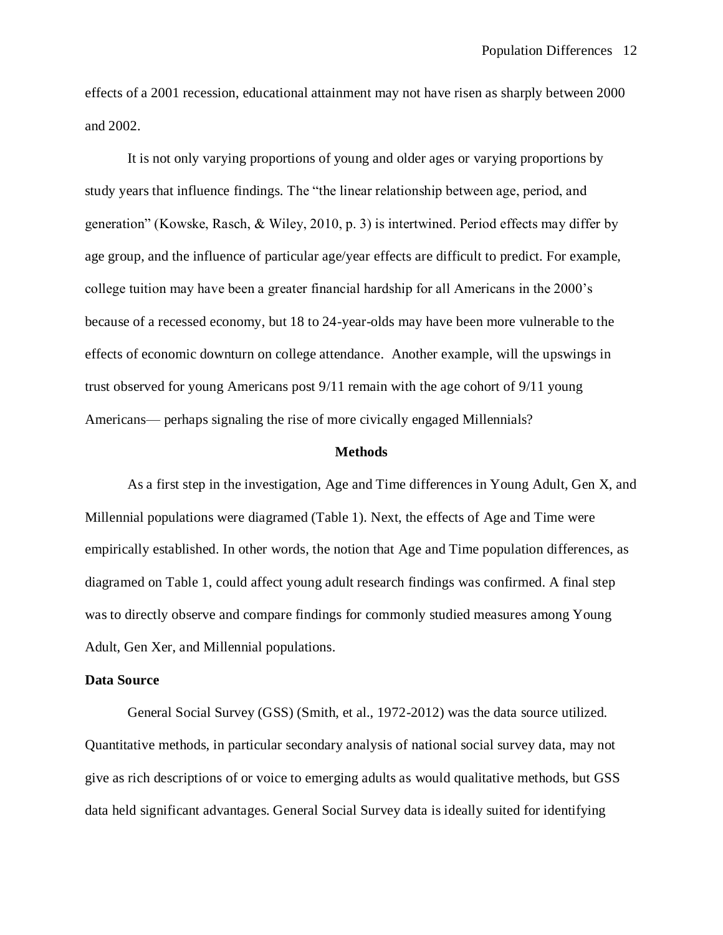effects of a 2001 recession, educational attainment may not have risen as sharply between 2000 and 2002.

It is not only varying proportions of young and older ages or varying proportions by study years that influence findings. The "the linear relationship between age, period, and generation" (Kowske, Rasch, & Wiley, 2010, p. 3) is intertwined. Period effects may differ by age group, and the influence of particular age/year effects are difficult to predict. For example, college tuition may have been a greater financial hardship for all Americans in the 2000's because of a recessed economy, but 18 to 24-year-olds may have been more vulnerable to the effects of economic downturn on college attendance. Another example, will the upswings in trust observed for young Americans post 9/11 remain with the age cohort of 9/11 young Americans— perhaps signaling the rise of more civically engaged Millennials?

#### **Methods**

As a first step in the investigation, Age and Time differences in Young Adult, Gen X, and Millennial populations were diagramed (Table 1). Next, the effects of Age and Time were empirically established. In other words, the notion that Age and Time population differences, as diagramed on Table 1, could affect young adult research findings was confirmed. A final step was to directly observe and compare findings for commonly studied measures among Young Adult, Gen Xer, and Millennial populations.

### **Data Source**

General Social Survey (GSS) (Smith, et al., 1972-2012) was the data source utilized. Quantitative methods, in particular secondary analysis of national social survey data, may not give as rich descriptions of or voice to emerging adults as would qualitative methods, but GSS data held significant advantages. General Social Survey data is ideally suited for identifying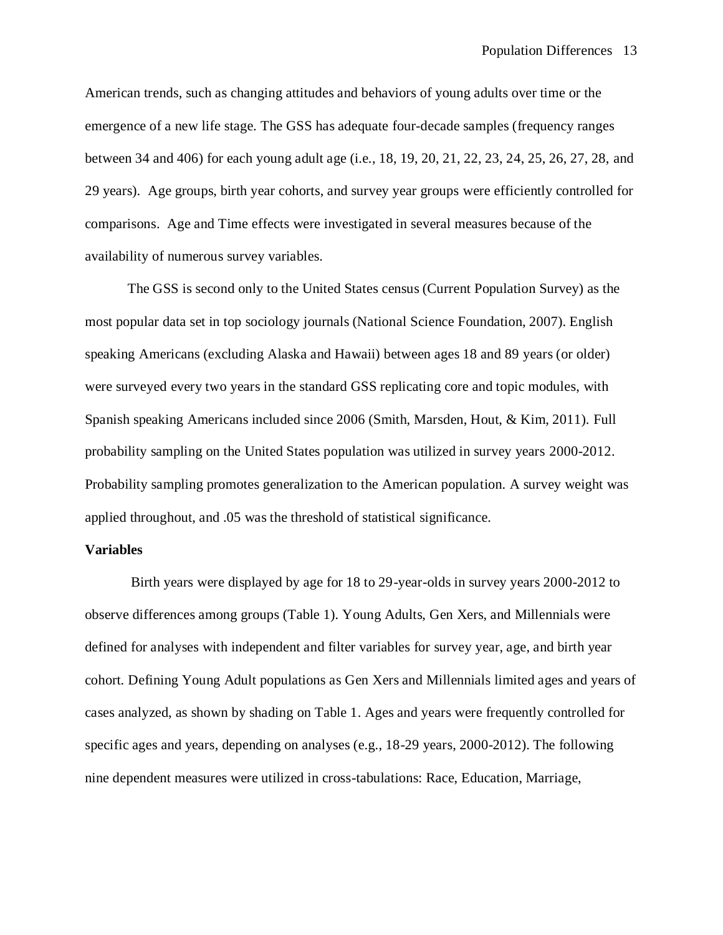American trends, such as changing attitudes and behaviors of young adults over time or the emergence of a new life stage. The GSS has adequate four-decade samples (frequency ranges between 34 and 406) for each young adult age (i.e., 18, 19, 20, 21, 22, 23, 24, 25, 26, 27, 28, and 29 years). Age groups, birth year cohorts, and survey year groups were efficiently controlled for comparisons. Age and Time effects were investigated in several measures because of the availability of numerous survey variables.

The GSS is second only to the United States census (Current Population Survey) as the most popular data set in top sociology journals (National Science Foundation, 2007). English speaking Americans (excluding Alaska and Hawaii) between ages 18 and 89 years (or older) were surveyed every two years in the standard GSS replicating core and topic modules, with Spanish speaking Americans included since 2006 (Smith, Marsden, Hout, & Kim, 2011). Full probability sampling on the United States population was utilized in survey years 2000-2012. Probability sampling promotes generalization to the American population. A survey weight was applied throughout, and .05 was the threshold of statistical significance.

## **Variables**

Birth years were displayed by age for 18 to 29-year-olds in survey years 2000-2012 to observe differences among groups (Table 1). Young Adults, Gen Xers, and Millennials were defined for analyses with independent and filter variables for survey year, age, and birth year cohort. Defining Young Adult populations as Gen Xers and Millennials limited ages and years of cases analyzed, as shown by shading on Table 1. Ages and years were frequently controlled for specific ages and years, depending on analyses (e.g., 18-29 years, 2000-2012). The following nine dependent measures were utilized in cross-tabulations: Race, Education, Marriage,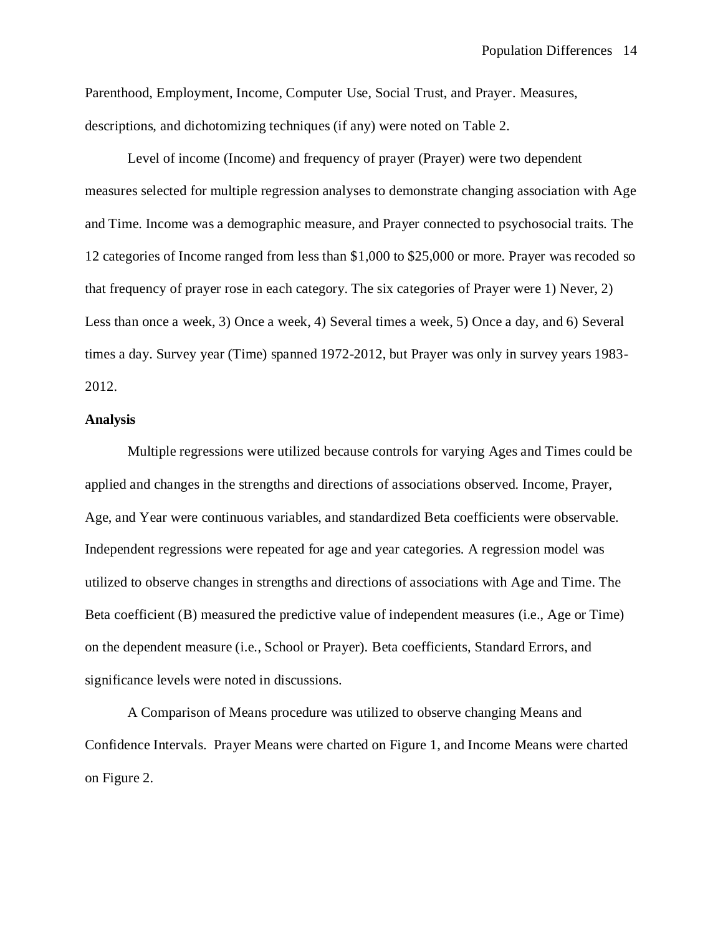Parenthood, Employment, Income, Computer Use, Social Trust, and Prayer. Measures, descriptions, and dichotomizing techniques (if any) were noted on Table 2.

Level of income (Income) and frequency of prayer (Prayer) were two dependent measures selected for multiple regression analyses to demonstrate changing association with Age and Time. Income was a demographic measure, and Prayer connected to psychosocial traits. The 12 categories of Income ranged from less than \$1,000 to \$25,000 or more. Prayer was recoded so that frequency of prayer rose in each category. The six categories of Prayer were 1) Never, 2) Less than once a week, 3) Once a week, 4) Several times a week, 5) Once a day, and 6) Several times a day. Survey year (Time) spanned 1972-2012, but Prayer was only in survey years 1983- 2012.

#### **Analysis**

Multiple regressions were utilized because controls for varying Ages and Times could be applied and changes in the strengths and directions of associations observed. Income, Prayer, Age, and Year were continuous variables, and standardized Beta coefficients were observable. Independent regressions were repeated for age and year categories. A regression model was utilized to observe changes in strengths and directions of associations with Age and Time. The Beta coefficient (B) measured the predictive value of independent measures (i.e., Age or Time) on the dependent measure (i.e., School or Prayer). Beta coefficients, Standard Errors, and significance levels were noted in discussions.

A Comparison of Means procedure was utilized to observe changing Means and Confidence Intervals. Prayer Means were charted on Figure 1, and Income Means were charted on Figure 2.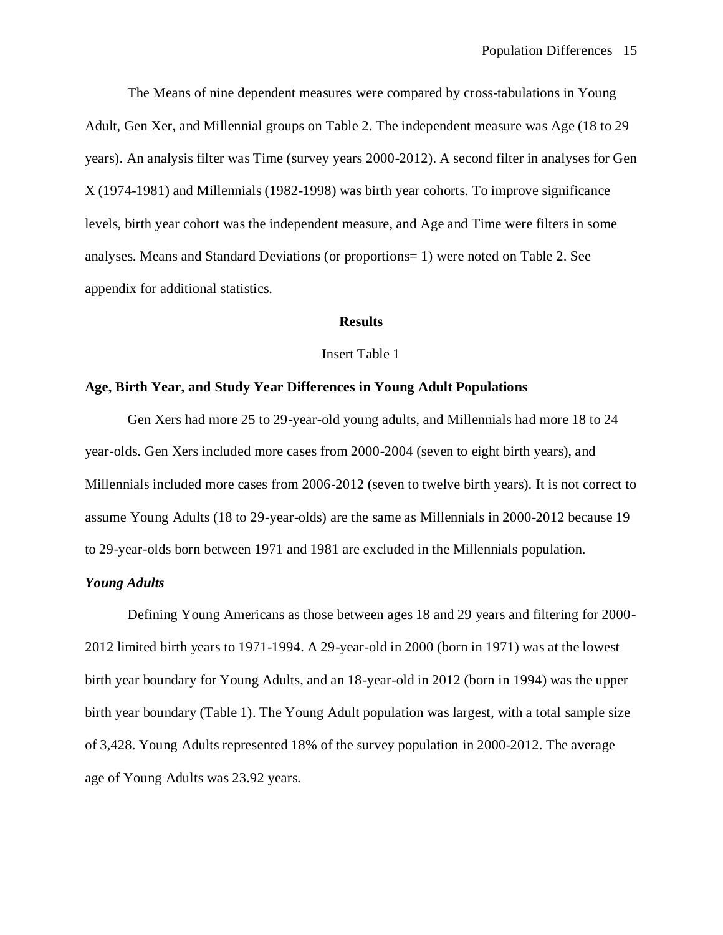The Means of nine dependent measures were compared by cross-tabulations in Young Adult, Gen Xer, and Millennial groups on Table 2. The independent measure was Age (18 to 29 years). An analysis filter was Time (survey years 2000-2012). A second filter in analyses for Gen X (1974-1981) and Millennials (1982-1998) was birth year cohorts. To improve significance levels, birth year cohort was the independent measure, and Age and Time were filters in some analyses. Means and Standard Deviations (or proportions= 1) were noted on Table 2. See appendix for additional statistics.

#### **Results**

#### Insert Table 1

#### **Age, Birth Year, and Study Year Differences in Young Adult Populations**

Gen Xers had more 25 to 29-year-old young adults, and Millennials had more 18 to 24 year-olds. Gen Xers included more cases from 2000-2004 (seven to eight birth years), and Millennials included more cases from 2006-2012 (seven to twelve birth years). It is not correct to assume Young Adults (18 to 29-year-olds) are the same as Millennials in 2000-2012 because 19 to 29-year-olds born between 1971 and 1981 are excluded in the Millennials population.

## *Young Adults*

Defining Young Americans as those between ages 18 and 29 years and filtering for 2000- 2012 limited birth years to 1971-1994. A 29-year-old in 2000 (born in 1971) was at the lowest birth year boundary for Young Adults, and an 18-year-old in 2012 (born in 1994) was the upper birth year boundary (Table 1). The Young Adult population was largest, with a total sample size of 3,428. Young Adults represented 18% of the survey population in 2000-2012. The average age of Young Adults was 23.92 years.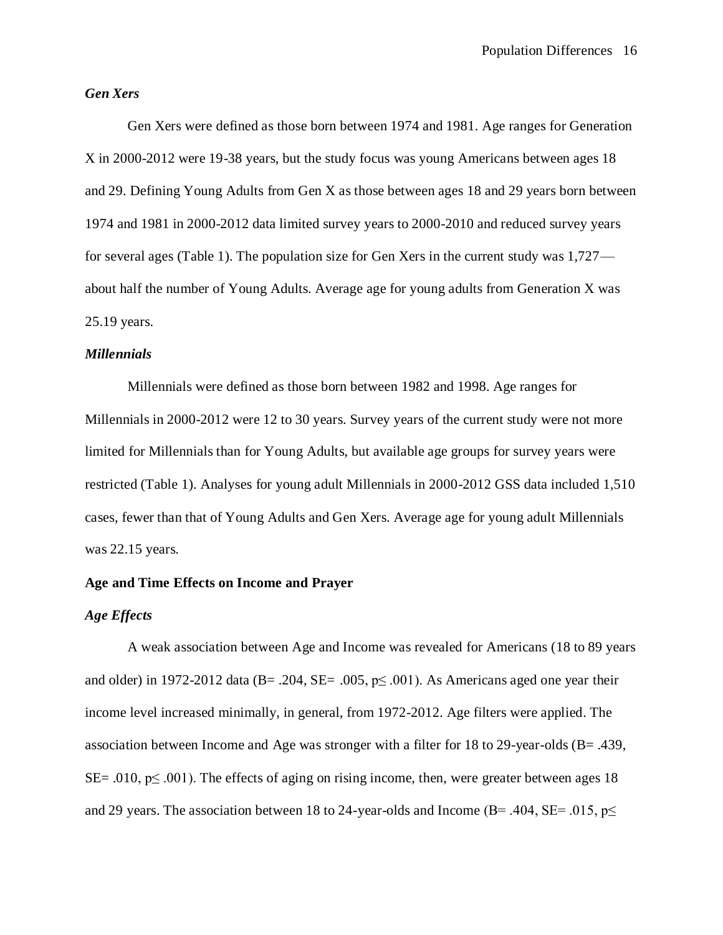## *Gen Xers*

Gen Xers were defined as those born between 1974 and 1981. Age ranges for Generation X in 2000-2012 were 19-38 years, but the study focus was young Americans between ages 18 and 29. Defining Young Adults from Gen X as those between ages 18 and 29 years born between 1974 and 1981 in 2000-2012 data limited survey years to 2000-2010 and reduced survey years for several ages (Table 1). The population size for Gen Xers in the current study was 1,727 about half the number of Young Adults. Average age for young adults from Generation X was 25.19 years.

#### *Millennials*

Millennials were defined as those born between 1982 and 1998. Age ranges for Millennials in 2000-2012 were 12 to 30 years. Survey years of the current study were not more limited for Millennials than for Young Adults, but available age groups for survey years were restricted (Table 1). Analyses for young adult Millennials in 2000-2012 GSS data included 1,510 cases, fewer than that of Young Adults and Gen Xers. Average age for young adult Millennials was 22.15 years.

## **Age and Time Effects on Income and Prayer**

## *Age Effects*

A weak association between Age and Income was revealed for Americans (18 to 89 years and older) in 1972-2012 data (B= .204, SE= .005,  $p \leq .001$ ). As Americans aged one year their income level increased minimally, in general, from 1972-2012. Age filters were applied. The association between Income and Age was stronger with a filter for 18 to 29-year-olds (B= .439, SE= .010,  $p \leq .001$ ). The effects of aging on rising income, then, were greater between ages 18 and 29 years. The association between 18 to 24-year-olds and Income (B= .404, SE= .015,  $p\le$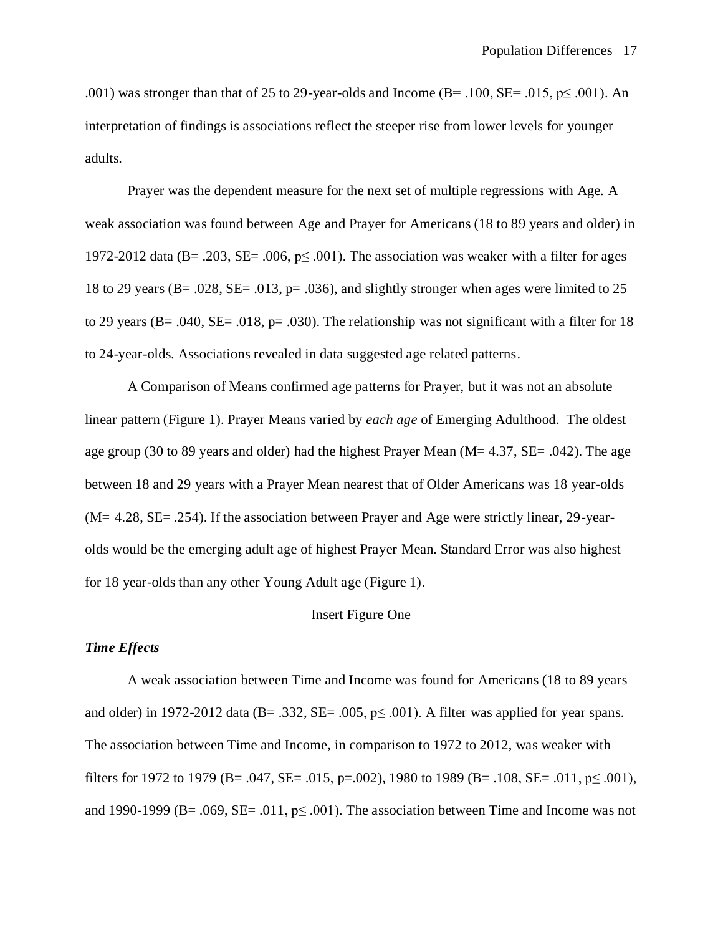.001) was stronger than that of 25 to 29-year-olds and Income (B=  $.100$ , SE=  $.015$ , p $\leq .001$ ). An interpretation of findings is associations reflect the steeper rise from lower levels for younger adults.

Prayer was the dependent measure for the next set of multiple regressions with Age. A weak association was found between Age and Prayer for Americans (18 to 89 years and older) in 1972-2012 data (B= .203, SE= .006,  $p \leq 0.001$ ). The association was weaker with a filter for ages 18 to 29 years (B= .028, SE= .013, p= .036), and slightly stronger when ages were limited to 25 to 29 years ( $B = .040$ ,  $SE = .018$ ,  $p = .030$ ). The relationship was not significant with a filter for 18 to 24-year-olds. Associations revealed in data suggested age related patterns.

A Comparison of Means confirmed age patterns for Prayer, but it was not an absolute linear pattern (Figure 1). Prayer Means varied by *each age* of Emerging Adulthood. The oldest age group (30 to 89 years and older) had the highest Prayer Mean ( $M = 4.37$ ,  $SE = .042$ ). The age between 18 and 29 years with a Prayer Mean nearest that of Older Americans was 18 year-olds  $(M= 4.28, SE= .254)$ . If the association between Prayer and Age were strictly linear, 29-yearolds would be the emerging adult age of highest Prayer Mean. Standard Error was also highest for 18 year-olds than any other Young Adult age (Figure 1).

## Insert Figure One

## *Time Effects*

A weak association between Time and Income was found for Americans (18 to 89 years and older) in 1972-2012 data (B= .332, SE= .005,  $p \le 0.001$ ). A filter was applied for year spans. The association between Time and Income, in comparison to 1972 to 2012, was weaker with filters for 1972 to 1979 (B= .047, SE= .015, p=.002), 1980 to 1989 (B= .108, SE= .011, p $\leq$  .001), and 1990-1999 (B= .069, SE= .011,  $p \leq 0.001$ ). The association between Time and Income was not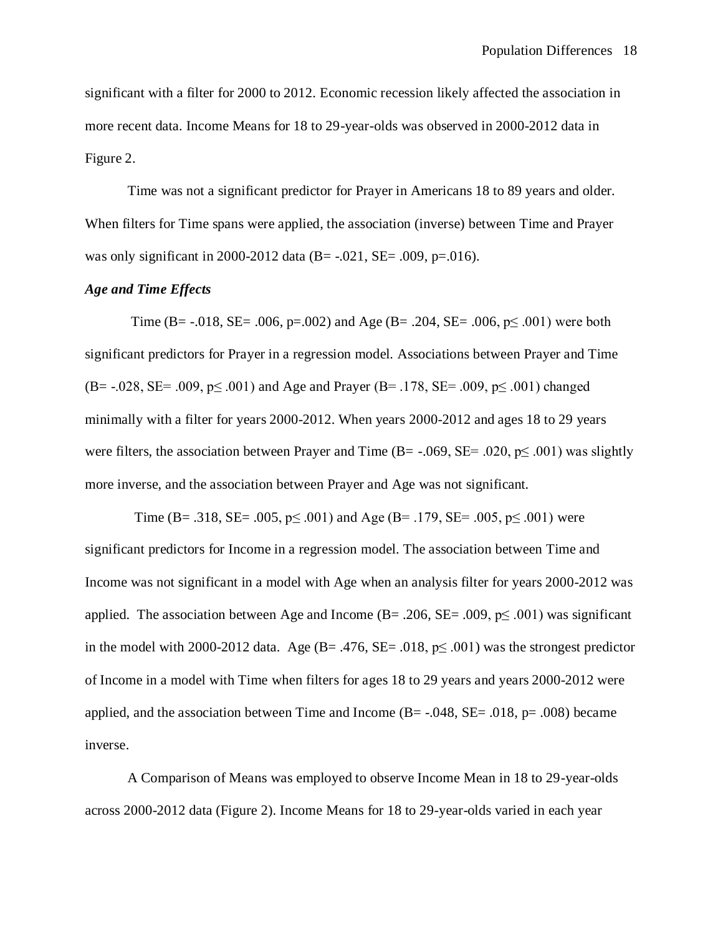significant with a filter for 2000 to 2012. Economic recession likely affected the association in more recent data. Income Means for 18 to 29-year-olds was observed in 2000-2012 data in Figure 2.

Time was not a significant predictor for Prayer in Americans 18 to 89 years and older. When filters for Time spans were applied, the association (inverse) between Time and Prayer was only significant in 2000-2012 data (B=  $-.021$ , SE=  $.009$ , p= $.016$ ).

## *Age and Time Effects*

Time (B=  $-0.018$ , SE=  $.006$ , p= $.002$ ) and Age (B=  $.204$ , SE=  $.006$ , p $\leq 0.001$ ) were both significant predictors for Prayer in a regression model. Associations between Prayer and Time  $(B=-.028, SE= .009, p\leq .001)$  and Age and Prayer  $(B=.178, SE=.009, p\leq .001)$  changed minimally with a filter for years 2000-2012. When years 2000-2012 and ages 18 to 29 years were filters, the association between Prayer and Time (B= -.069, SE= .020,  $p \leq .001$ ) was slightly more inverse, and the association between Prayer and Age was not significant.

Time (B= .318, SE= .005,  $p \le 0.001$ ) and Age (B= .179, SE= .005,  $p \le 0.001$ ) were significant predictors for Income in a regression model. The association between Time and Income was not significant in a model with Age when an analysis filter for years 2000-2012 was applied. The association between Age and Income (B= .206, SE= .009,  $p \leq .001$ ) was significant in the model with 2000-2012 data. Age (B= .476, SE= .018,  $p \leq .001$ ) was the strongest predictor of Income in a model with Time when filters for ages 18 to 29 years and years 2000-2012 were applied, and the association between Time and Income ( $B = -0.048$ ,  $SE = -0.018$ ,  $p = 0.008$ ) became inverse.

A Comparison of Means was employed to observe Income Mean in 18 to 29-year-olds across 2000-2012 data (Figure 2). Income Means for 18 to 29-year-olds varied in each year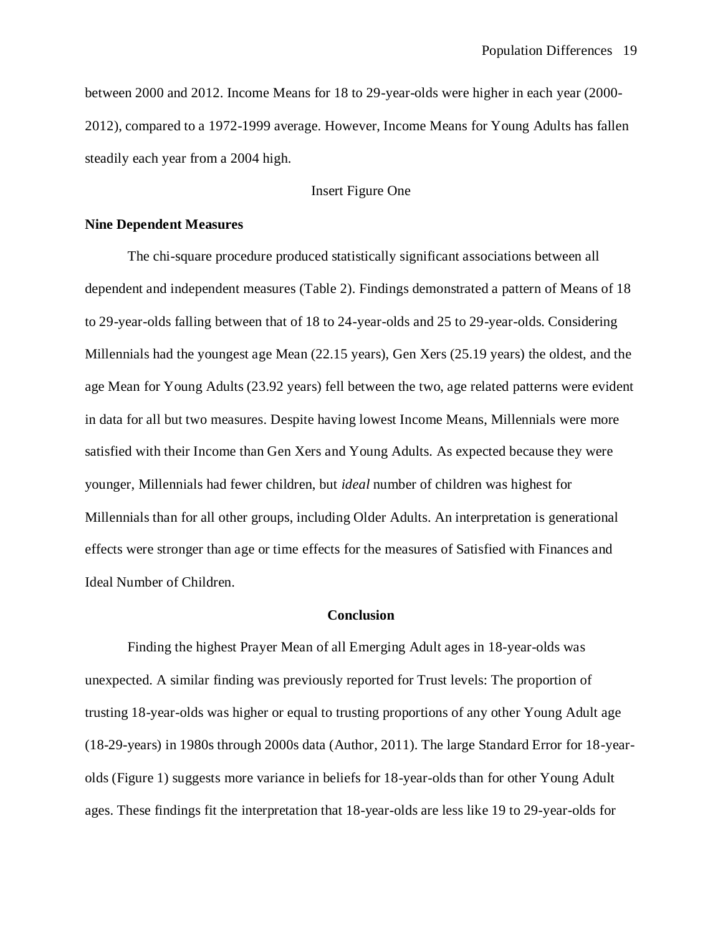between 2000 and 2012. Income Means for 18 to 29-year-olds were higher in each year (2000- 2012), compared to a 1972-1999 average. However, Income Means for Young Adults has fallen steadily each year from a 2004 high.

Insert Figure One

## **Nine Dependent Measures**

The chi-square procedure produced statistically significant associations between all dependent and independent measures (Table 2). Findings demonstrated a pattern of Means of 18 to 29-year-olds falling between that of 18 to 24-year-olds and 25 to 29-year-olds. Considering Millennials had the youngest age Mean (22.15 years), Gen Xers (25.19 years) the oldest, and the age Mean for Young Adults (23.92 years) fell between the two, age related patterns were evident in data for all but two measures. Despite having lowest Income Means, Millennials were more satisfied with their Income than Gen Xers and Young Adults. As expected because they were younger, Millennials had fewer children, but *ideal* number of children was highest for Millennials than for all other groups, including Older Adults. An interpretation is generational effects were stronger than age or time effects for the measures of Satisfied with Finances and Ideal Number of Children.

#### **Conclusion**

Finding the highest Prayer Mean of all Emerging Adult ages in 18-year-olds was unexpected. A similar finding was previously reported for Trust levels: The proportion of trusting 18-year-olds was higher or equal to trusting proportions of any other Young Adult age (18-29-years) in 1980s through 2000s data (Author, 2011). The large Standard Error for 18-yearolds (Figure 1) suggests more variance in beliefs for 18-year-olds than for other Young Adult ages. These findings fit the interpretation that 18-year-olds are less like 19 to 29-year-olds for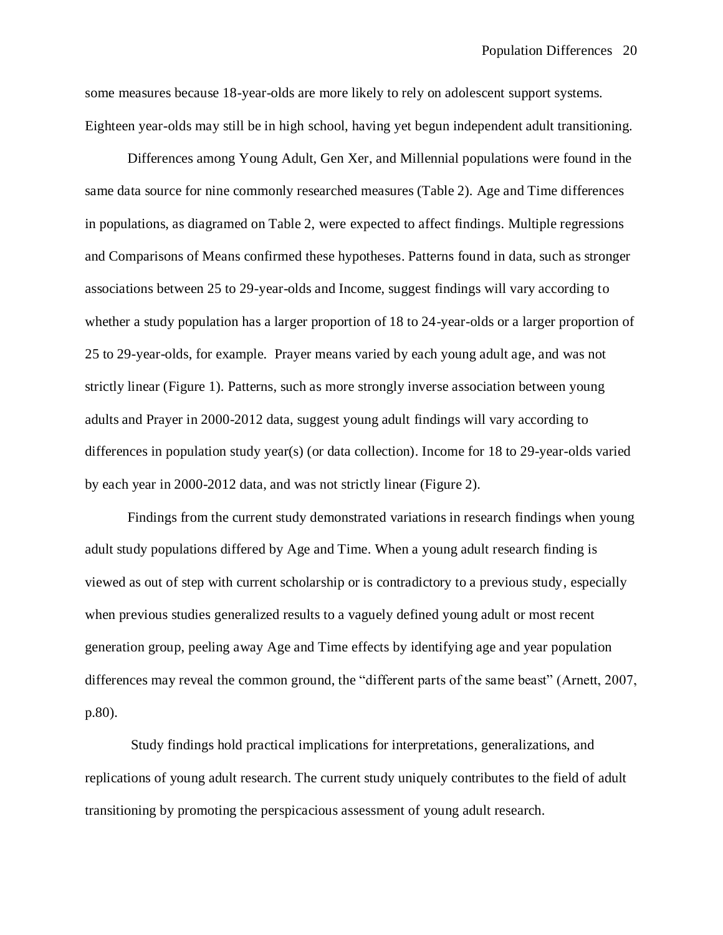some measures because 18-year-olds are more likely to rely on adolescent support systems. Eighteen year-olds may still be in high school, having yet begun independent adult transitioning.

Differences among Young Adult, Gen Xer, and Millennial populations were found in the same data source for nine commonly researched measures (Table 2). Age and Time differences in populations, as diagramed on Table 2, were expected to affect findings. Multiple regressions and Comparisons of Means confirmed these hypotheses. Patterns found in data, such as stronger associations between 25 to 29-year-olds and Income, suggest findings will vary according to whether a study population has a larger proportion of 18 to 24-year-olds or a larger proportion of 25 to 29-year-olds, for example. Prayer means varied by each young adult age, and was not strictly linear (Figure 1). Patterns, such as more strongly inverse association between young adults and Prayer in 2000-2012 data, suggest young adult findings will vary according to differences in population study year(s) (or data collection). Income for 18 to 29-year-olds varied by each year in 2000-2012 data, and was not strictly linear (Figure 2).

Findings from the current study demonstrated variations in research findings when young adult study populations differed by Age and Time. When a young adult research finding is viewed as out of step with current scholarship or is contradictory to a previous study, especially when previous studies generalized results to a vaguely defined young adult or most recent generation group, peeling away Age and Time effects by identifying age and year population differences may reveal the common ground, the "different parts of the same beast" (Arnett, 2007, p.80).

Study findings hold practical implications for interpretations, generalizations, and replications of young adult research. The current study uniquely contributes to the field of adult transitioning by promoting the perspicacious assessment of young adult research.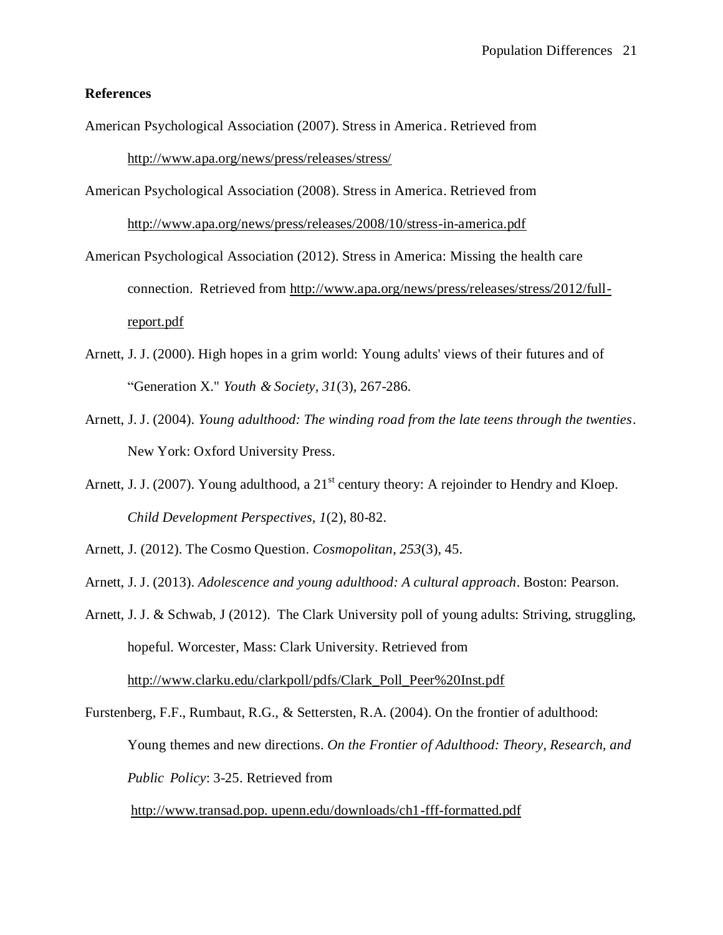## **References**

- American Psychological Association (2007). Stress in America. Retrieved from <http://www.apa.org/news/press/releases/stress/>
- American Psychological Association (2008). Stress in America. Retrieved from

<http://www.apa.org/news/press/releases/2008/10/stress-in-america.pdf>

- American Psychological Association (2012). Stress in America: Missing the health care connection. Retrieved from [http://www.apa.org/news/press/releases/stress/2012/full](http://www.apa.org/news/press/releases/stress/2012/full-report.pdf)[report.pdf](http://www.apa.org/news/press/releases/stress/2012/full-report.pdf)
- Arnett, J. J. (2000). High hopes in a grim world: Young adults' views of their futures and of "Generation X." *Youth & Society, 31*(3)*,* 267-286*.*
- Arnett, J. J. (2004). *Young adulthood: The winding road from the late teens through the twenties*. New York: Oxford University Press.
- Arnett, J. J. (2007). Young adulthood, a  $21<sup>st</sup>$  century theory: A rejoinder to Hendry and Kloep. *Child Development Perspectives, 1*(2), 80-82.
- Arnett, J. (2012). The Cosmo Question. *Cosmopolitan*, *253*(3), 45.
- Arnett, J. J. (2013). *Adolescence and young adulthood: A cultural approach*. Boston: Pearson.
- Arnett, J. J. & Schwab, J (2012). The Clark University poll of young adults: Striving, struggling, hopeful. Worcester, Mass: Clark University. Retrieved from [http://www.clarku.edu/clarkpoll/pdfs/Clark\\_Poll\\_Peer%20Inst.pdf](http://www.clarku.edu/clarkpoll/pdfs/Clark_Poll_Peer%20Inst.pdf)
- Furstenberg, F.F., Rumbaut, R.G., & Settersten, R.A. (2004). On the frontier of adulthood: Young themes and new directions. *On the Frontier of Adulthood: Theory, Research, and Public Policy*: 3-25. Retrieved from

[http://www.transad.pop. upenn.edu/downloads/ch1-fff-formatted.pdf](http://transitions.s410.sureserver.com/wp-content/uploads/2011/08/ch1-fff-formatted.pdf)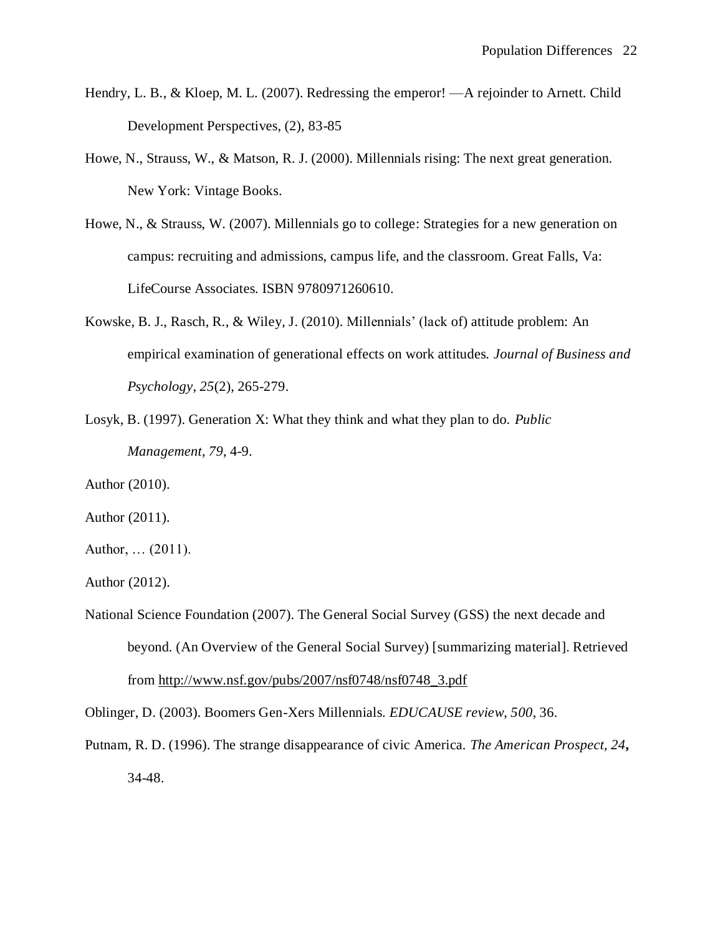- Hendry, L. B., & Kloep, M. L. (2007). Redressing the emperor! —A rejoinder to Arnett. Child Development Perspectives, (2), 83-85
- Howe, N., Strauss, W., & Matson, R. J. (2000). Millennials rising: The next great generation. New York: Vintage Books.
- Howe, N., & Strauss, W. (2007). Millennials go to college: Strategies for a new generation on campus: recruiting and admissions, campus life, and the classroom. Great Falls, Va: LifeCourse Associates. ISBN 9780971260610.
- Kowske, B. J., Rasch, R., & Wiley, J. (2010). Millennials' (lack of) attitude problem: An empirical examination of generational effects on work attitudes. *Journal of Business and Psychology*, *25*(2), 265-279.
- Losyk, B. (1997). Generation X: What they think and what they plan to do. *Public Management*, *79*, 4-9.
- Author (2010).
- Author (2011).
- Author, … (2011).
- Author (2012).
- National Science Foundation (2007). The General Social Survey (GSS) the next decade and beyond. (An Overview of the General Social Survey) [summarizing material]. Retrieved from [http://www.nsf.gov/pubs/2007/nsf0748/nsf0748\\_3.pdf](http://www.nsf.gov/pubs/2007/nsf0748/nsf0748_3.pdf)

Oblinger, D. (2003). Boomers Gen-Xers Millennials. *EDUCAUSE review*, *500*, 36.

Putnam, R. D. (1996). The strange disappearance of civic America. *The American Prospect, 24***,** 34-48.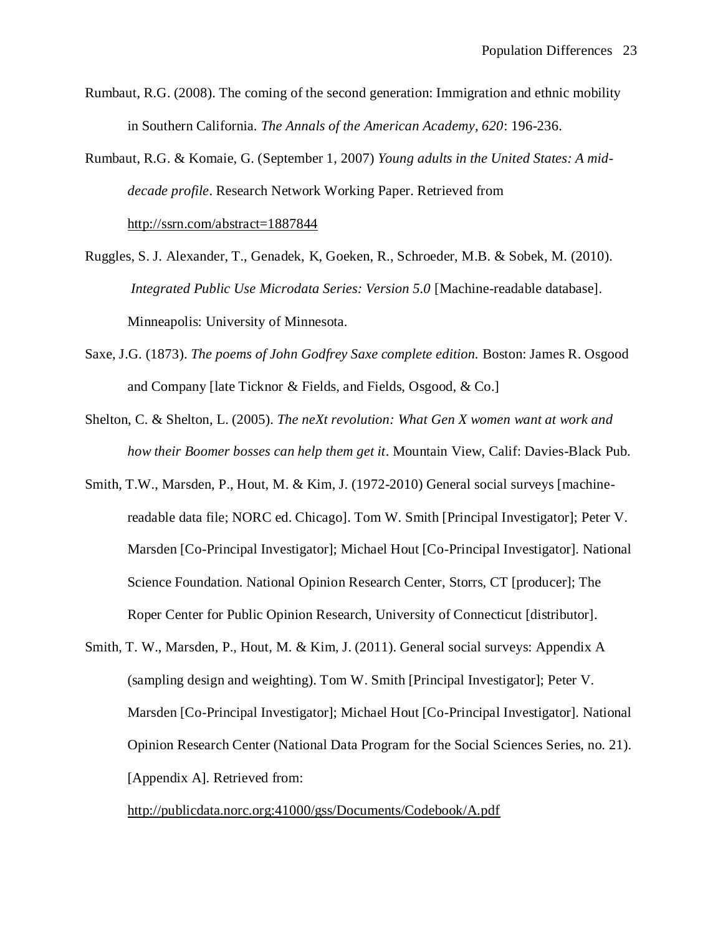- Rumbaut, R.G. (2008). The coming of the second generation: Immigration and ethnic mobility in Southern California. *The Annals of the American Academy, 620*: 196-236.
- Rumbaut, R.G. & Komaie, G. (September 1, 2007) *Young adults in the United States: A middecade profile*. Research Network Working Paper. Retrieved from <http://ssrn.com/abstract=1887844>
- Ruggles, S. J. Alexander, T., Genadek, K, Goeken, R., Schroeder, M.B. & Sobek, M. (2010). *Integrated Public Use Microdata Series: Version 5.0* [Machine-readable database]. Minneapolis: University of Minnesota.
- Saxe, J.G. (1873). *The poems of John Godfrey Saxe complete edition.* Boston: James R. Osgood and Company [late Ticknor & Fields, and Fields, Osgood, & Co.]
- Shelton, C. & Shelton, L. (2005). *The neXt revolution: What Gen X women want at work and how their Boomer bosses can help them get it*. Mountain View, Calif: Davies-Black Pub.
- Smith, T.W., Marsden, P., Hout, M. & Kim, J. (1972-2010) General social surveys [machinereadable data file; NORC ed. Chicago]. Tom W. Smith [Principal Investigator]; Peter V. Marsden [Co-Principal Investigator]; Michael Hout [Co-Principal Investigator]. National Science Foundation. National Opinion Research Center, Storrs, CT [producer]; The Roper Center for Public Opinion Research, University of Connecticut [distributor].
- Smith, T. W., Marsden, P., Hout, M. & Kim, J. (2011). General social surveys: Appendix A (sampling design and weighting). Tom W. Smith [Principal Investigator]; Peter V. Marsden [Co-Principal Investigator]; Michael Hout [Co-Principal Investigator]. National Opinion Research Center (National Data Program for the Social Sciences Series, no. 21). [Appendix A]. Retrieved from:

<http://publicdata.norc.org:41000/gss/Documents/Codebook/A.pdf>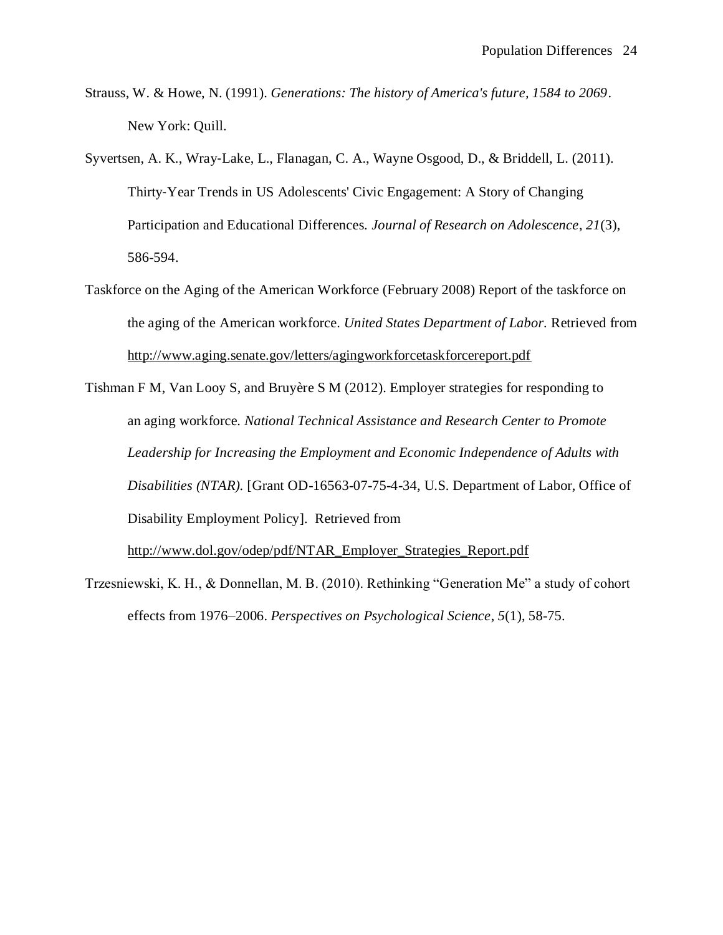- Strauss, W. & Howe, N. (1991). *Generations: The history of America's future, 1584 to 2069*. New York: Quill.
- Syvertsen, A. K., Wray‐Lake, L., Flanagan, C. A., Wayne Osgood, D., & Briddell, L. (2011). Thirty‐Year Trends in US Adolescents' Civic Engagement: A Story of Changing Participation and Educational Differences. *Journal of Research on Adolescence*, *21*(3), 586-594.
- Taskforce on the Aging of the American Workforce (February 2008) Report of the taskforce on the aging of the American workforce. *United States Department of Labor.* Retrieved from <http://www.aging.senate.gov/letters/agingworkforcetaskforcereport.pdf>
- Tishman F M, Van Looy S, and Bruyère S M (2012). Employer strategies for responding to an aging workforce. *National Technical Assistance and Research Center to Promote Leadership for Increasing the Employment and Economic Independence of Adults with Disabilities (NTAR).* [Grant OD-16563-07-75-4-34, U.S. Department of Labor, Office of Disability Employment Policy]. Retrieved from [http://www.dol.gov/odep/pdf/NTAR\\_Employer\\_Strategies\\_Report.pdf](http://www.dol.gov/odep/pdf/NTAR_Employer_Strategies_Report.pdf)
- Trzesniewski, K. H., & Donnellan, M. B. (2010). Rethinking "Generation Me" a study of cohort effects from 1976–2006. *Perspectives on Psychological Science*, *5*(1), 58-75.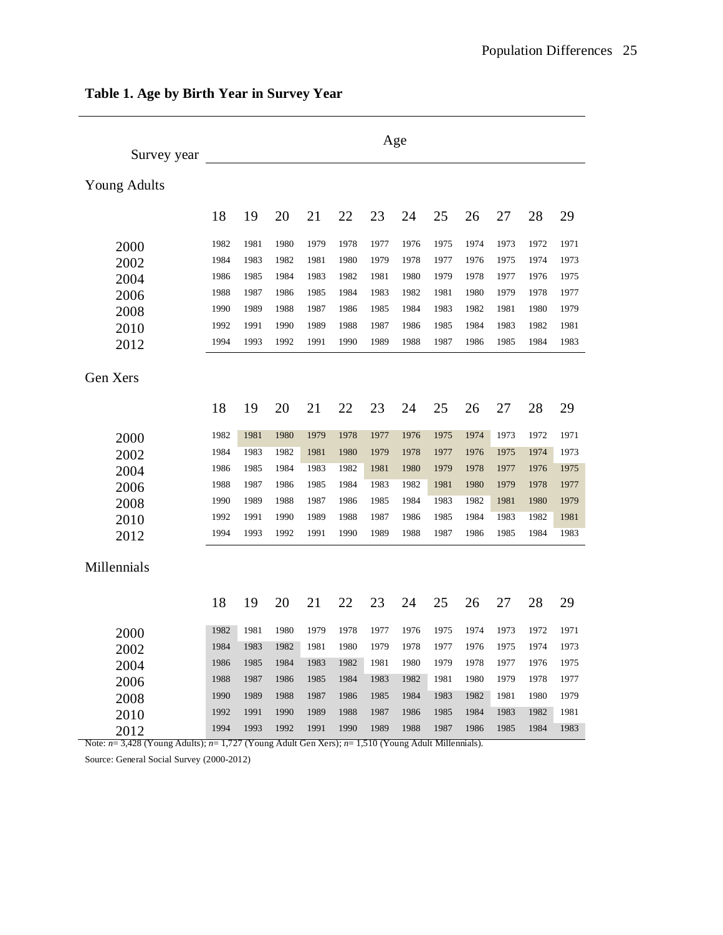| Survey year         | Age  |      |      |      |      |      |      |      |      |      |      |      |
|---------------------|------|------|------|------|------|------|------|------|------|------|------|------|
| <b>Young Adults</b> |      |      |      |      |      |      |      |      |      |      |      |      |
|                     | 18   | 19   | 20   | 21   | 22   | 23   | 24   | 25   | 26   | 27   | 28   | 29   |
| 2000                | 1982 | 1981 | 1980 | 1979 | 1978 | 1977 | 1976 | 1975 | 1974 | 1973 | 1972 | 1971 |
| 2002                | 1984 | 1983 | 1982 | 1981 | 1980 | 1979 | 1978 | 1977 | 1976 | 1975 | 1974 | 1973 |
| 2004                | 1986 | 1985 | 1984 | 1983 | 1982 | 1981 | 1980 | 1979 | 1978 | 1977 | 1976 | 1975 |
| 2006                | 1988 | 1987 | 1986 | 1985 | 1984 | 1983 | 1982 | 1981 | 1980 | 1979 | 1978 | 1977 |
| 2008                | 1990 | 1989 | 1988 | 1987 | 1986 | 1985 | 1984 | 1983 | 1982 | 1981 | 1980 | 1979 |
| 2010                | 1992 | 1991 | 1990 | 1989 | 1988 | 1987 | 1986 | 1985 | 1984 | 1983 | 1982 | 1981 |
| 2012                | 1994 | 1993 | 1992 | 1991 | 1990 | 1989 | 1988 | 1987 | 1986 | 1985 | 1984 | 1983 |
| Gen Xers            |      |      |      |      |      |      |      |      |      |      |      |      |
|                     | 18   | 19   | 20   | 21   | 22   | 23   | 24   | 25   | 26   | 27   | 28   | 29   |
| 2000                | 1982 | 1981 | 1980 | 1979 | 1978 | 1977 | 1976 | 1975 | 1974 | 1973 | 1972 | 1971 |
| 2002                | 1984 | 1983 | 1982 | 1981 | 1980 | 1979 | 1978 | 1977 | 1976 | 1975 | 1974 | 1973 |
| 2004                | 1986 | 1985 | 1984 | 1983 | 1982 | 1981 | 1980 | 1979 | 1978 | 1977 | 1976 | 1975 |
| 2006                | 1988 | 1987 | 1986 | 1985 | 1984 | 1983 | 1982 | 1981 | 1980 | 1979 | 1978 | 1977 |
| 2008                | 1990 | 1989 | 1988 | 1987 | 1986 | 1985 | 1984 | 1983 | 1982 | 1981 | 1980 | 1979 |
| 2010                | 1992 | 1991 | 1990 | 1989 | 1988 | 1987 | 1986 | 1985 | 1984 | 1983 | 1982 | 1981 |
| 2012                | 1994 | 1993 | 1992 | 1991 | 1990 | 1989 | 1988 | 1987 | 1986 | 1985 | 1984 | 1983 |
| Millennials         |      |      |      |      |      |      |      |      |      |      |      |      |
|                     | 18   | 19   | 20   | 21   | 22   | 23   | 24   | 25   | 26   | 27   | 28   | 29   |
| 2000                | 1982 | 1981 | 1980 | 1979 | 1978 | 1977 | 1976 | 1975 | 1974 | 1973 | 1972 | 1971 |
| 2002                | 1984 | 1983 | 1982 | 1981 | 1980 | 1979 | 1978 | 1977 | 1976 | 1975 | 1974 | 1973 |
| 2004                | 1986 | 1985 | 1984 | 1983 | 1982 | 1981 | 1980 | 1979 | 1978 | 1977 | 1976 | 1975 |
| 2006                | 1988 | 1987 | 1986 | 1985 | 1984 | 1983 | 1982 | 1981 | 1980 | 1979 | 1978 | 1977 |
| 2008                | 1990 | 1989 | 1988 | 1987 | 1986 | 1985 | 1984 | 1983 | 1982 | 1981 | 1980 | 1979 |
| 2010                | 1992 | 1991 | 1990 | 1989 | 1988 | 1987 | 1986 | 1985 | 1984 | 1983 | 1982 | 1981 |
| 2012                | 1994 | 1993 | 1992 | 1991 | 1990 | 1989 | 1988 | 1987 | 1986 | 1985 | 1984 | 1983 |

## **Table 1. Age by Birth Year in Survey Year**

Note: *n*= 3,428 (Young Adults); *n*= 1,727 (Young Adult Gen Xers); *n*= 1,510 (Young Adult Millennials).

Source: General Social Survey (2000-2012)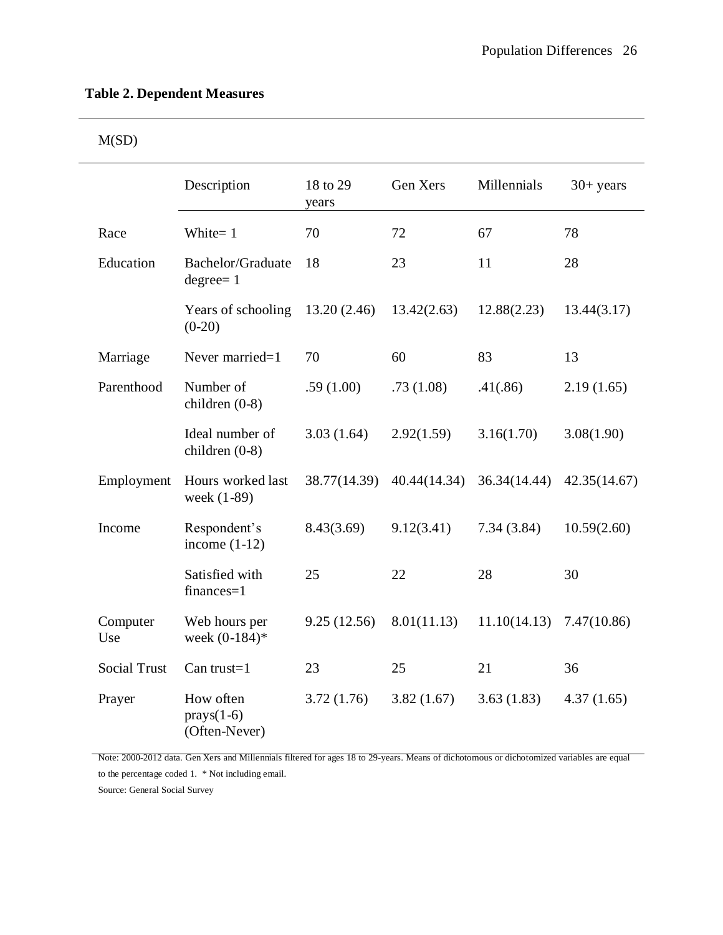| VII. |  |
|------|--|
|      |  |

|                     | Description                                | 18 to 29<br>years | Gen Xers     | Millennials  | $30+$ years  |
|---------------------|--------------------------------------------|-------------------|--------------|--------------|--------------|
| Race                | White= 1                                   | 70                | 72           | 67           | 78           |
| Education           | Bachelor/Graduate<br>$degree=1$            | 18                | 23           | 11           | 28           |
|                     | Years of schooling<br>$(0-20)$             | 13.20(2.46)       | 13.42(2.63)  | 12.88(2.23)  | 13.44(3.17)  |
| Marriage            | Never married=1                            | 70                | 60           | 83           | 13           |
| Parenthood          | Number of<br>children (0-8)                | .59(1.00)         | .73(1.08)    | .41(.86)     | 2.19(1.65)   |
|                     | Ideal number of<br>children $(0-8)$        | 3.03(1.64)        | 2.92(1.59)   | 3.16(1.70)   | 3.08(1.90)   |
| Employment          | Hours worked last<br>week (1-89)           | 38.77(14.39)      | 40.44(14.34) | 36.34(14.44) | 42.35(14.67) |
| Income              | Respondent's<br>income $(1-12)$            | 8.43(3.69)        | 9.12(3.41)   | 7.34(3.84)   | 10.59(2.60)  |
|                     | Satisfied with<br>finances=1               | 25                | 22           | 28           | 30           |
| Computer<br>Use     | Web hours per<br>week $(0-184)$ *          | 9.25(12.56)       | 8.01(11.13)  | 11.10(14.13) | 7.47(10.86)  |
| <b>Social Trust</b> | Can trust= $1$                             | 23                | 25           | 21           | 36           |
| Prayer              | How often<br>$prays(1-6)$<br>(Often-Never) | 3.72(1.76)        | 3.82(1.67)   | 3.63(1.83)   | 4.37(1.65)   |

Note: 2000-2012 data. Gen Xers and Millennials filtered for ages 18 to 29-years. Means of dichotomous or dichotomized variables are equal to the percentage coded 1. \* Not including email.

Source: General Social Survey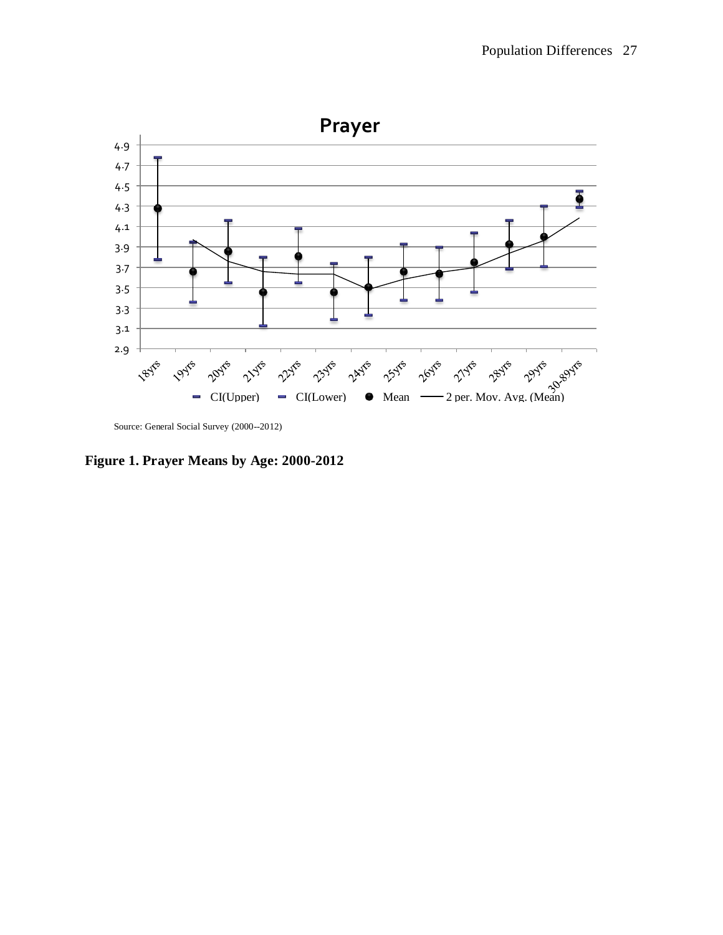

Source: General Social Survey (2000--2012)

**Figure 1. Prayer Means by Age: 2000-2012**